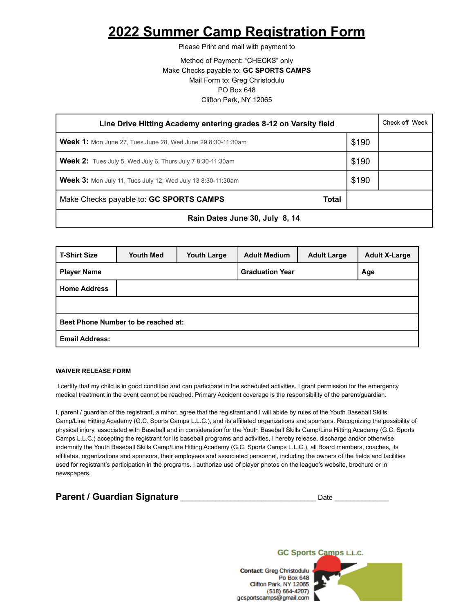## **2022 Summer Camp Registration Form**

Please Print and mail with payment to

Method of Payment: "CHECKS" only Make Checks payable to: **GC SPORTS CAMPS** Mail Form to: Greg Christodulu PO Box 648 Clifton Park, NY 12065

| Line Drive Hitting Academy entering grades 8-12 on Varsity field   |       |  |  |  |
|--------------------------------------------------------------------|-------|--|--|--|
| <b>Week 1:</b> Mon June 27, Tues June 28, Wed June 29 8:30-11:30am | \$190 |  |  |  |
| <b>Week 2:</b> Tues July 5, Wed July 6, Thurs July 7 8:30-11:30am  | \$190 |  |  |  |
| <b>Week 3:</b> Mon July 11, Tues July 12, Wed July 13 8:30-11:30am | \$190 |  |  |  |
| Make Checks payable to: GC SPORTS CAMPS<br>Total                   |       |  |  |  |
| Rain Dates June 30, July 8, 14                                     |       |  |  |  |

| <b>T-Shirt Size</b>                 | <b>Youth Med</b> | <b>Youth Large</b>     | <b>Adult Medium</b> | <b>Adult Large</b> | <b>Adult X-Large</b> |
|-------------------------------------|------------------|------------------------|---------------------|--------------------|----------------------|
| <b>Player Name</b>                  |                  | <b>Graduation Year</b> |                     | Age                |                      |
| <b>Home Address</b>                 |                  |                        |                     |                    |                      |
|                                     |                  |                        |                     |                    |                      |
| Best Phone Number to be reached at: |                  |                        |                     |                    |                      |
| <b>Email Address:</b>               |                  |                        |                     |                    |                      |

## **WAIVER RELEASE FORM**

I certify that my child is in good condition and can participate in the scheduled activities. I grant permission for the emergency medical treatment in the event cannot be reached. Primary Accident coverage is the responsibility of the parent/guardian.

I, parent / guardian of the registrant, a minor, agree that the registrant and I will abide by rules of the Youth Baseball Skills Camp/Line Hitting Academy (G.C. Sports Camps L.L.C.), and its affiliated organizations and sponsors. Recognizing the possibility of physical injury, associated with Baseball and in consideration for the Youth Baseball Skills Camp/Line Hitting Academy (G.C. Sports Camps L.L.C.) accepting the registrant for its baseball programs and activities, I hereby release, discharge and/or otherwise indemnify the Youth Baseball Skills Camp/Line Hitting Academy (G.C. Sports Camps L.L.C.), all Board members, coaches, its affiliates, organizations and sponsors, their employees and associated personnel, including the owners of the fields and facilities used for registrant's participation in the programs. I authorize use of player photos on the league's website, brochure or in newspapers.

| <b>Parent / Guardian Signature</b> | Date |  |
|------------------------------------|------|--|
|                                    |      |  |



Contact: Greg Christodulu **Po Box 648** Clifton Park, NY 12065  $(518) 664 - 4207$ gcsportscamps@gmail.com